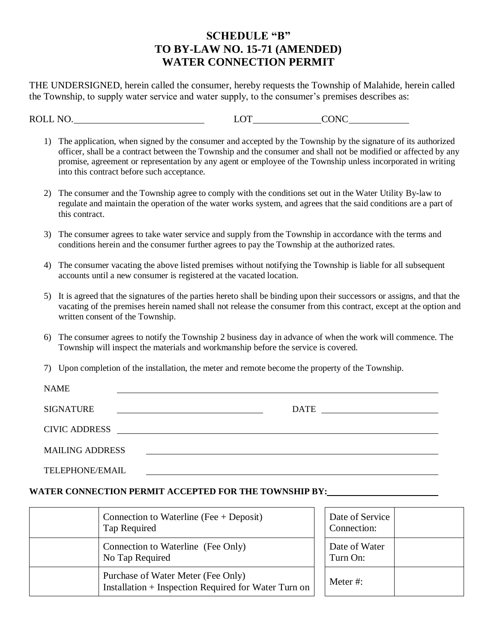# **SCHEDULE "B" TO BY-LAW NO. 15-71 (AMENDED) WATER CONNECTION PERMIT**

THE UNDERSIGNED, herein called the consumer, hereby requests the Township of Malahide, herein called the Township, to supply water service and water supply, to the consumer's premises describes as:

ROLL NO. LOT CONC

- 1) The application, when signed by the consumer and accepted by the Township by the signature of its authorized officer, shall be a contract between the Township and the consumer and shall not be modified or affected by any promise, agreement or representation by any agent or employee of the Township unless incorporated in writing into this contract before such acceptance.
- 2) The consumer and the Township agree to comply with the conditions set out in the Water Utility By-law to regulate and maintain the operation of the water works system, and agrees that the said conditions are a part of this contract.
- 3) The consumer agrees to take water service and supply from the Township in accordance with the terms and conditions herein and the consumer further agrees to pay the Township at the authorized rates.
- 4) The consumer vacating the above listed premises without notifying the Township is liable for all subsequent accounts until a new consumer is registered at the vacated location.
- 5) It is agreed that the signatures of the parties hereto shall be binding upon their successors or assigns, and that the vacating of the premises herein named shall not release the consumer from this contract, except at the option and written consent of the Township.
- 6) The consumer agrees to notify the Township 2 business day in advance of when the work will commence. The Township will inspect the materials and workmanship before the service is covered.
- 7) Upon completion of the installation, the meter and remote become the property of the Township.

| <b>NAME</b>            |               |
|------------------------|---------------|
| <b>SIGNATURE</b>       | <b>DATE</b>   |
|                        | CIVIC ADDRESS |
| <b>MAILING ADDRESS</b> |               |
| <b>TELEPHONE/EMAIL</b> |               |

### **WATER CONNECTION PERMIT ACCEPTED FOR THE TOWNSHIP BY:**

| Connection to Waterline (Fee $+$ Deposit)<br>Tap Required                                  | Date of Service<br>Connection: |  |
|--------------------------------------------------------------------------------------------|--------------------------------|--|
| Connection to Waterline (Fee Only)<br>No Tap Required                                      | Date of Water<br>Turn On:      |  |
| Purchase of Water Meter (Fee Only)<br>Installation + Inspection Required for Water Turn on | Meter $#$ :                    |  |